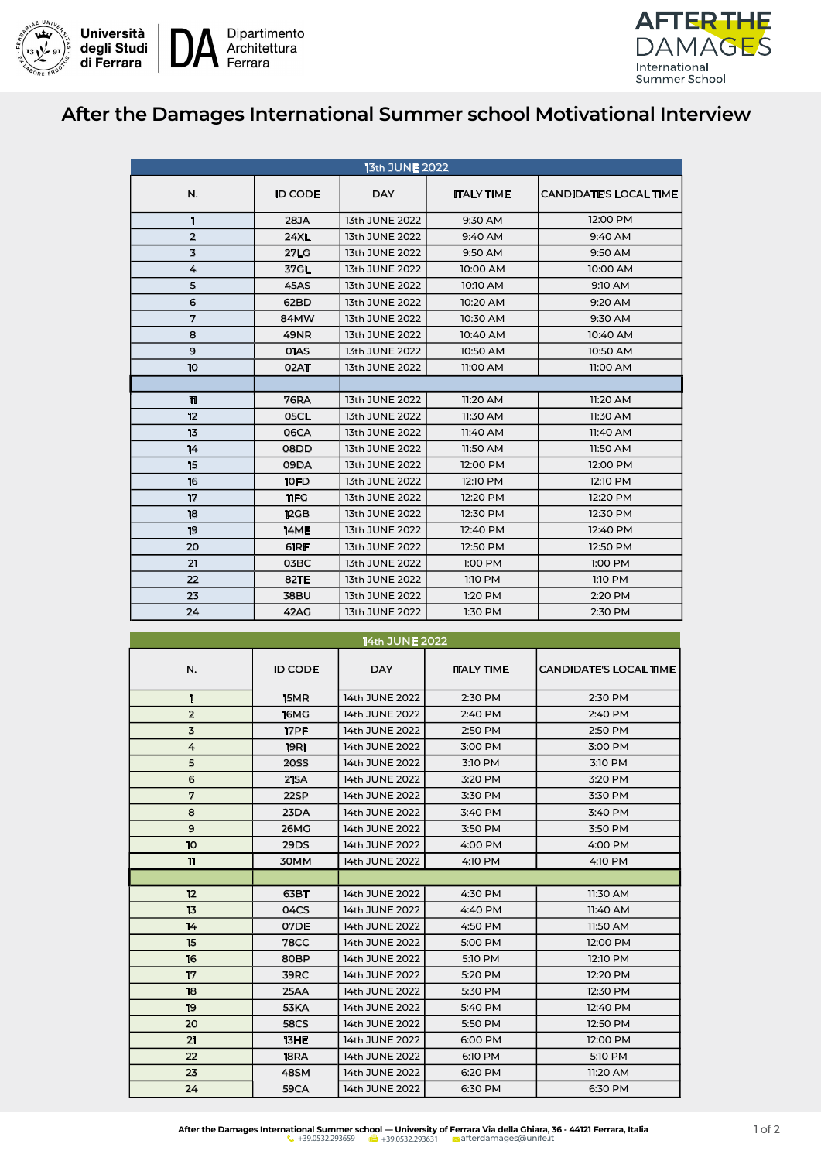



## **After the Damages International Summer school Motivational Interview**

| 13th JUNE 2022 |                |                |                   |                               |  |  |  |
|----------------|----------------|----------------|-------------------|-------------------------------|--|--|--|
| N.             | <b>ID CODE</b> | <b>DAY</b>     | <b>ITALY TIME</b> | <b>CANDIDATE'S LOCAL TIME</b> |  |  |  |
| I.             | 28JA           | 13th JUNE 2022 | 9:30 AM           | 12:00 PM                      |  |  |  |
| $\overline{2}$ | <b>24XL</b>    | 13th JUNE 2022 | 9:40 AM           | 9:40 AM                       |  |  |  |
| 3              | <b>27LG</b>    | 13th JUNE 2022 | 9:50 AM           | 9:50 AM                       |  |  |  |
| 4              | 37GL           | 13th JUNE 2022 | 10:00 AM          | 10:00 AM                      |  |  |  |
| 5              | <b>45AS</b>    | 13th JUNE 2022 | 10:10 AM          | 9:10 AM                       |  |  |  |
| 6              | 62BD           | 13th JUNE 2022 | 10:20 AM          | 9:20 AM                       |  |  |  |
| 7              | 84MW           | 13th JUNE 2022 | 10:30 AM          | 9:30 AM                       |  |  |  |
| 8              | <b>49NR</b>    | 13th JUNE 2022 | 10:40 AM          | 10:40 AM                      |  |  |  |
| 9              | <b>OIAS</b>    | 13th JUNE 2022 | 10:50 AM          | 10:50 AM                      |  |  |  |
| 10             | 02AT           | 13th JUNE 2022 | 11:00 AM          | 11:00 AM                      |  |  |  |
|                |                |                |                   |                               |  |  |  |
| 11             | <b>76RA</b>    | 13th JUNE 2022 | 11:20 AM          | 11:20 AM                      |  |  |  |
| 12             | 05CL           | 13th JUNE 2022 | 11:30 AM          | 11:30 AM                      |  |  |  |
| 13             | 06CA           | 13th JUNE 2022 | 11:40 AM          | 11:40 AM                      |  |  |  |
| 14             | 08DD           | 13th JUNE 2022 | 11:50 AM          | 11:50 AM                      |  |  |  |
| 15             | 09DA           | 13th JUNE 2022 | 12:00 PM          | 12:00 PM                      |  |  |  |
| 16             | 10FD           | 13th JUNE 2022 | 12:10 PM          | 12:10 PM                      |  |  |  |
| 17             | 11FG           | 13th JUNE 2022 | 12:20 PM          | 12:20 PM                      |  |  |  |
| 18             | 12GB           | 13th JUNE 2022 | 12:30 PM          | 12:30 PM                      |  |  |  |
| 19             | <b>14ME</b>    | 13th JUNE 2022 | 12:40 PM          | 12:40 PM                      |  |  |  |
| 20             | 61RF           | 13th JUNE 2022 | 12:50 PM          | 12:50 PM                      |  |  |  |
| 21             | 03BC           | 13th JUNE 2022 | 1:00 PM           | 1:00 PM                       |  |  |  |
| 22             | <b>82TE</b>    | 13th JUNE 2022 | 1:10 PM           | 1:10 PM                       |  |  |  |
| 23             | <b>38BU</b>    | 13th JUNE 2022 | 1:20 PM           | 2:20 PM                       |  |  |  |
| 24             | <b>42AG</b>    | 13th JUNE 2022 | 1:30 PM           | 2:30 PM                       |  |  |  |

## N.  $\vert$  ID CODE  $\vert$  DAY  $\vert$  ITALY TIME CANDIDATE'S LOCAL TIME 1 15MR 14th JUNE 2022 2:30 PM 2:30 PM 2 16MG 14th JUNE 2022 2:40 PM 2:40 PM 17PF 14th JUNE 2022 2:50 PM 2:50 PM 19RI 14th JUNE 2022 3:00 PM 3:00 PM 20SS 14th JUNE 2022 3:10 PM 3:10 PM 6 21SA 14th JUNE 2022 3:20 PM 3:20 PM 122SP 14th JUNE 2022 3:30 PM 3:30 PM 8 23DA 14th JUNE 2022 3:40 PM 3:40 PM 26MG 14th JUNE 2022 3:50 PM 3:50 PM 10 29DS 14th JUNE 2022 4:00 PM 4:00 PM 11 30MM 14th JUNE 2022 4:10 PM 4:10 PM 14th JUNE 2022 **63BT** 14th JUNE 2022 4:30 PM 11:30 AM 13 04CS 14th JUNE 2022 4:40 PM 11:40 AM 14 07DE 14th JUNE 2022 4:50 PM 11:50 AM 15 78CC 14th JUNE 2022 5:00 PM 12:00 PM **80BP** 14th JUNE 2022 5:10 PM 12:10 PM 17 39RC 14th JUNE 2022 5:20 PM 12:20 PM 18 25AA 14th JUNE 2022 5:30 PM 12:30 PM **53KA** 14th JUNE 2022 5:40 PM 12:40 PM **58CS** 14th JUNE 2022 5:50 PM 12:50 PM **13HE** 14th JUNE 2022 6:00 PM 12:00 PM **18RA** 14th JUNE 2022 6:10 PM 5:10 PM 23 48SM 14th JUNE 2022 6:20 PM 11:20 AM 24 59CA 14th JUNE 2022 6:30 PM 6:30 PM